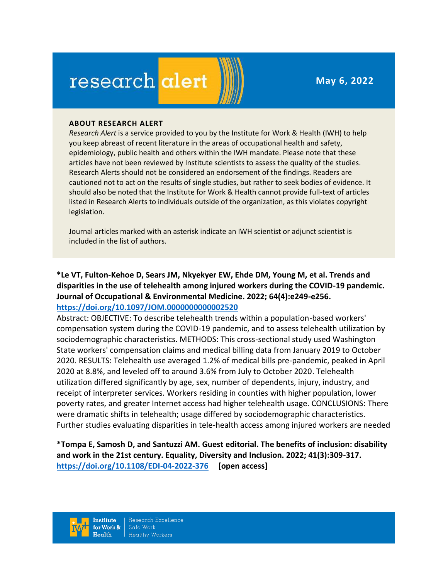**May 6, 2022**

# research alert

#### **ABOUT RESEARCH ALERT**

*Research Alert* is a service provided to you by the Institute for Work & Health (IWH) to help you keep abreast of recent literature in the areas of occupational health and safety, epidemiology, public health and others within the IWH mandate. Please note that these articles have not been reviewed by Institute scientists to assess the quality of the studies. Research Alerts should not be considered an endorsement of the findings. Readers are cautioned not to act on the results of single studies, but rather to seek bodies of evidence. It should also be noted that the Institute for Work & Health cannot provide full-text of articles listed in Research Alerts to individuals outside of the organization, as this violates copyright legislation.

Journal articles marked with an asterisk indicate an IWH scientist or adjunct scientist is included in the list of authors.

**\*Le VT, Fulton-Kehoe D, Sears JM, Nkyekyer EW, Ehde DM, Young M, et al. Trends and disparities in the use of telehealth among injured workers during the COVID-19 pandemic. Journal of Occupational & Environmental Medicine. 2022; 64(4):e249-e256. <https://doi.org/10.1097/JOM.0000000000002520>** 

Abstract: OBJECTIVE: To describe telehealth trends within a population-based workers' compensation system during the COVID-19 pandemic, and to assess telehealth utilization by sociodemographic characteristics. METHODS: This cross-sectional study used Washington State workers' compensation claims and medical billing data from January 2019 to October 2020. RESULTS: Telehealth use averaged 1.2% of medical bills pre-pandemic, peaked in April 2020 at 8.8%, and leveled off to around 3.6% from July to October 2020. Telehealth utilization differed significantly by age, sex, number of dependents, injury, industry, and receipt of interpreter services. Workers residing in counties with higher population, lower poverty rates, and greater Internet access had higher telehealth usage. CONCLUSIONS: There were dramatic shifts in telehealth; usage differed by sociodemographic characteristics. Further studies evaluating disparities in tele-health access among injured workers are needed

**\*Tompa E, Samosh D, and Santuzzi AM. Guest editorial. The benefits of inclusion: disability and work in the 21st century. Equality, Diversity and Inclusion. 2022; 41(3):309-317. <https://doi.org/10.1108/EDI-04-2022-376> [open access]**

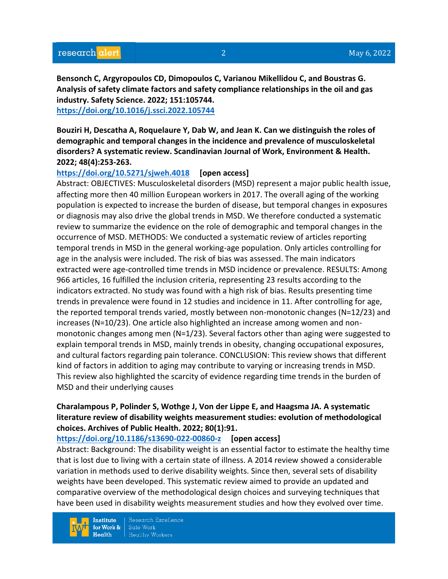**Bensonch C, Argyropoulos CD, Dimopoulos C, Varianou Mikellidou C, and Boustras G. Analysis of safety climate factors and safety compliance relationships in the oil and gas industry. Safety Science. 2022; 151:105744. <https://doi.org/10.1016/j.ssci.2022.105744>** 

**Bouziri H, Descatha A, Roquelaure Y, Dab W, and Jean K. Can we distinguish the roles of demographic and temporal changes in the incidence and prevalence of musculoskeletal disorders? A systematic review. Scandinavian Journal of Work, Environment & Health. 2022; 48(4):253-263.** 

#### **<https://doi.org/10.5271/sjweh.4018> [open access]**

Abstract: OBJECTIVES: Musculoskeletal disorders (MSD) represent a major public health issue, affecting more then 40 million European workers in 2017. The overall aging of the working population is expected to increase the burden of disease, but temporal changes in exposures or diagnosis may also drive the global trends in MSD. We therefore conducted a systematic review to summarize the evidence on the role of demographic and temporal changes in the occurrence of MSD. METHODS: We conducted a systematic review of articles reporting temporal trends in MSD in the general working-age population. Only articles controlling for age in the analysis were included. The risk of bias was assessed. The main indicators extracted were age-controlled time trends in MSD incidence or prevalence. RESULTS: Among 966 articles, 16 fulfilled the inclusion criteria, representing 23 results according to the indicators extracted. No study was found with a high risk of bias. Results presenting time trends in prevalence were found in 12 studies and incidence in 11. After controlling for age, the reported temporal trends varied, mostly between non-monotonic changes (N=12/23) and increases (N=10/23). One article also highlighted an increase among women and nonmonotonic changes among men (N=1/23). Several factors other than aging were suggested to explain temporal trends in MSD, mainly trends in obesity, changing occupational exposures, and cultural factors regarding pain tolerance. CONCLUSION: This review shows that different kind of factors in addition to aging may contribute to varying or increasing trends in MSD. This review also highlighted the scarcity of evidence regarding time trends in the burden of MSD and their underlying causes

# **Charalampous P, Polinder S, Wothge J, Von der Lippe E, and Haagsma JA. A systematic literature review of disability weights measurement studies: evolution of methodological choices. Archives of Public Health. 2022; 80(1):91.**

**<https://doi.org/10.1186/s13690-022-00860-z> [open access]**

Abstract: Background: The disability weight is an essential factor to estimate the healthy time that is lost due to living with a certain state of illness. A 2014 review showed a considerable variation in methods used to derive disability weights. Since then, several sets of disability weights have been developed. This systematic review aimed to provide an updated and comparative overview of the methodological design choices and surveying techniques that have been used in disability weights measurement studies and how they evolved over time.

**Institute** for Work &  $Health$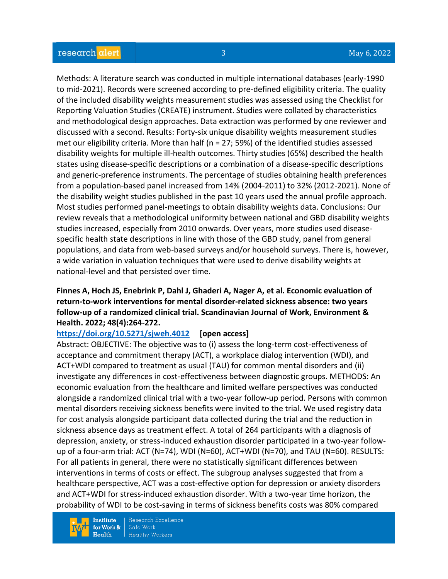Methods: A literature search was conducted in multiple international databases (early-1990 to mid-2021). Records were screened according to pre-defined eligibility criteria. The quality of the included disability weights measurement studies was assessed using the Checklist for Reporting Valuation Studies (CREATE) instrument. Studies were collated by characteristics and methodological design approaches. Data extraction was performed by one reviewer and discussed with a second. Results: Forty-six unique disability weights measurement studies met our eligibility criteria. More than half ( $n = 27$ ; 59%) of the identified studies assessed disability weights for multiple ill-health outcomes. Thirty studies (65%) described the health states using disease-specific descriptions or a combination of a disease-specific descriptions and generic-preference instruments. The percentage of studies obtaining health preferences from a population-based panel increased from 14% (2004-2011) to 32% (2012-2021). None of the disability weight studies published in the past 10 years used the annual profile approach. Most studies performed panel-meetings to obtain disability weights data. Conclusions: Our review reveals that a methodological uniformity between national and GBD disability weights studies increased, especially from 2010 onwards. Over years, more studies used diseasespecific health state descriptions in line with those of the GBD study, panel from general populations, and data from web-based surveys and/or household surveys. There is, however, a wide variation in valuation techniques that were used to derive disability weights at national-level and that persisted over time.

## **Finnes A, Hoch JS, Enebrink P, Dahl J, Ghaderi A, Nager A, et al. Economic evaluation of return-to-work interventions for mental disorder-related sickness absence: two years follow-up of a randomized clinical trial. Scandinavian Journal of Work, Environment & Health. 2022; 48(4):264-272.**

## **<https://doi.org/10.5271/sjweh.4012> [open access]**

Abstract: OBJECTIVE: The objective was to (i) assess the long-term cost-effectiveness of acceptance and commitment therapy (ACT), a workplace dialog intervention (WDI), and ACT+WDI compared to treatment as usual (TAU) for common mental disorders and (ii) investigate any differences in cost-effectiveness between diagnostic groups. METHODS: An economic evaluation from the healthcare and limited welfare perspectives was conducted alongside a randomized clinical trial with a two-year follow-up period. Persons with common mental disorders receiving sickness benefits were invited to the trial. We used registry data for cost analysis alongside participant data collected during the trial and the reduction in sickness absence days as treatment effect. A total of 264 participants with a diagnosis of depression, anxiety, or stress-induced exhaustion disorder participated in a two-year followup of a four-arm trial: ACT (N=74), WDI (N=60), ACT+WDI (N=70), and TAU (N=60). RESULTS: For all patients in general, there were no statistically significant differences between interventions in terms of costs or effect. The subgroup analyses suggested that from a healthcare perspective, ACT was a cost-effective option for depression or anxiety disorders and ACT+WDI for stress-induced exhaustion disorder. With a two-year time horizon, the probability of WDI to be cost-saving in terms of sickness benefits costs was 80% compared

**Institute** for Work &  $Health$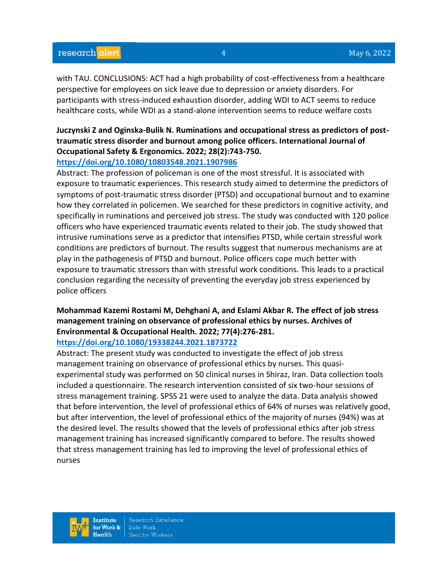# research alert

with TAU. CONCLUSIONS: ACT had a high probability of cost-effectiveness from a healthcare perspective for employees on sick leave due to depression or anxiety disorders. For participants with stress-induced exhaustion disorder, adding WDI to ACT seems to reduce healthcare costs, while WDI as a stand-alone intervention seems to reduce welfare costs

## **Juczynski Z and Oginska-Bulik N. Ruminations and occupational stress as predictors of posttraumatic stress disorder and burnout among police officers. International Journal of Occupational Safety & Ergonomics. 2022; 28(2):743-750.**

#### **<https://doi.org/10.1080/10803548.2021.1907986>**

Abstract: The profession of policeman is one of the most stressful. It is associated with exposure to traumatic experiences. This research study aimed to determine the predictors of symptoms of post-traumatic stress disorder (PTSD) and occupational burnout and to examine how they correlated in policemen. We searched for these predictors in cognitive activity, and specifically in ruminations and perceived job stress. The study was conducted with 120 police officers who have experienced traumatic events related to their job. The study showed that intrusive ruminations serve as a predictor that intensifies PTSD, while certain stressful work conditions are predictors of burnout. The results suggest that numerous mechanisms are at play in the pathogenesis of PTSD and burnout. Police officers cope much better with exposure to traumatic stressors than with stressful work conditions. This leads to a practical conclusion regarding the necessity of preventing the everyday job stress experienced by police officers

# **Mohammad Kazemi Rostami M, Dehghani A, and Eslami Akbar R. The effect of job stress management training on observance of professional ethics by nurses. Archives of Environmental & Occupational Health. 2022; 77(4):276-281.**

## **<https://doi.org/10.1080/19338244.2021.1873722>**

Abstract: The present study was conducted to investigate the effect of job stress management training on observance of professional ethics by nurses. This quasiexperimental study was performed on 50 clinical nurses in Shiraz, Iran. Data collection tools included a questionnaire. The research intervention consisted of six two-hour sessions of stress management training. SPSS 21 were used to analyze the data. Data analysis showed that before intervention, the level of professional ethics of 64% of nurses was relatively good, but after intervention, the level of professional ethics of the majority of nurses (94%) was at the desired level. The results showed that the levels of professional ethics after job stress management training has increased significantly compared to before. The results showed that stress management training has led to improving the level of professional ethics of nurses

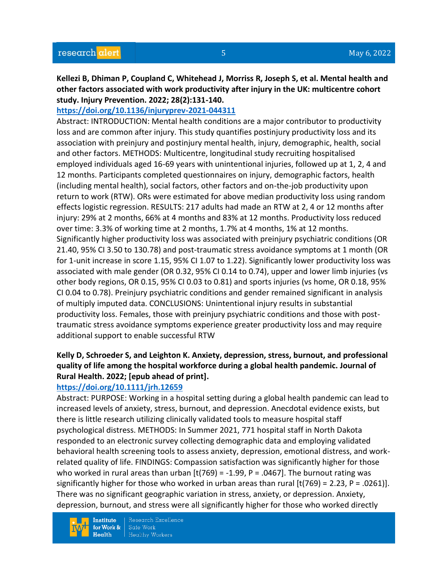**Kellezi B, Dhiman P, Coupland C, Whitehead J, Morriss R, Joseph S, et al. Mental health and other factors associated with work productivity after injury in the UK: multicentre cohort study. Injury Prevention. 2022; 28(2):131-140.** 

## **<https://doi.org/10.1136/injuryprev-2021-044311>**

Abstract: INTRODUCTION: Mental health conditions are a major contributor to productivity loss and are common after injury. This study quantifies postinjury productivity loss and its association with preinjury and postinjury mental health, injury, demographic, health, social and other factors. METHODS: Multicentre, longitudinal study recruiting hospitalised employed individuals aged 16-69 years with unintentional injuries, followed up at 1, 2, 4 and 12 months. Participants completed questionnaires on injury, demographic factors, health (including mental health), social factors, other factors and on-the-job productivity upon return to work (RTW). ORs were estimated for above median productivity loss using random effects logistic regression. RESULTS: 217 adults had made an RTW at 2, 4 or 12 months after injury: 29% at 2 months, 66% at 4 months and 83% at 12 months. Productivity loss reduced over time: 3.3% of working time at 2 months, 1.7% at 4 months, 1% at 12 months. Significantly higher productivity loss was associated with preinjury psychiatric conditions (OR 21.40, 95% CI 3.50 to 130.78) and post-traumatic stress avoidance symptoms at 1 month (OR for 1-unit increase in score 1.15, 95% CI 1.07 to 1.22). Significantly lower productivity loss was associated with male gender (OR 0.32, 95% CI 0.14 to 0.74), upper and lower limb injuries (vs other body regions, OR 0.15, 95% CI 0.03 to 0.81) and sports injuries (vs home, OR 0.18, 95% CI 0.04 to 0.78). Preinjury psychiatric conditions and gender remained significant in analysis of multiply imputed data. CONCLUSIONS: Unintentional injury results in substantial productivity loss. Females, those with preinjury psychiatric conditions and those with posttraumatic stress avoidance symptoms experience greater productivity loss and may require additional support to enable successful RTW

# **Kelly D, Schroeder S, and Leighton K. Anxiety, depression, stress, burnout, and professional quality of life among the hospital workforce during a global health pandemic. Journal of Rural Health. 2022; [epub ahead of print].**

## **<https://doi.org/10.1111/jrh.12659>**

Abstract: PURPOSE: Working in a hospital setting during a global health pandemic can lead to increased levels of anxiety, stress, burnout, and depression. Anecdotal evidence exists, but there is little research utilizing clinically validated tools to measure hospital staff psychological distress. METHODS: In Summer 2021, 771 hospital staff in North Dakota responded to an electronic survey collecting demographic data and employing validated behavioral health screening tools to assess anxiety, depression, emotional distress, and workrelated quality of life. FINDINGS: Compassion satisfaction was significantly higher for those who worked in rural areas than urban  $\left[\frac{t}{769}\right] = -1.99$ , P = .0467]. The burnout rating was significantly higher for those who worked in urban areas than rural  $[t(769) = 2.23, P = .0261]$ . There was no significant geographic variation in stress, anxiety, or depression. Anxiety, depression, burnout, and stress were all significantly higher for those who worked directly

**Institute** Research Excellence Safe Work for Work &  $Health$ **Healthy Workers**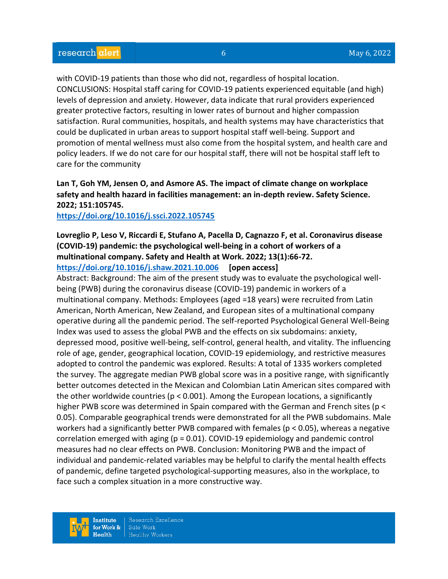with COVID-19 patients than those who did not, regardless of hospital location. CONCLUSIONS: Hospital staff caring for COVID-19 patients experienced equitable (and high) levels of depression and anxiety. However, data indicate that rural providers experienced greater protective factors, resulting in lower rates of burnout and higher compassion satisfaction. Rural communities, hospitals, and health systems may have characteristics that could be duplicated in urban areas to support hospital staff well-being. Support and promotion of mental wellness must also come from the hospital system, and health care and policy leaders. If we do not care for our hospital staff, there will not be hospital staff left to care for the community

# **Lan T, Goh YM, Jensen O, and Asmore AS. The impact of climate change on workplace safety and health hazard in facilities management: an in-depth review. Safety Science. 2022; 151:105745.**

## **<https://doi.org/10.1016/j.ssci.2022.105745>**

# **Lovreglio P, Leso V, Riccardi E, Stufano A, Pacella D, Cagnazzo F, et al. Coronavirus disease (COVID-19) pandemic: the psychological well-being in a cohort of workers of a multinational company. Safety and Health at Work. 2022; 13(1):66-72.**

**<https://doi.org/10.1016/j.shaw.2021.10.006> [open access]**

Abstract: Background: The aim of the present study was to evaluate the psychological wellbeing (PWB) during the coronavirus disease (COVID-19) pandemic in workers of a multinational company. Methods: Employees (aged =18 years) were recruited from Latin American, North American, New Zealand, and European sites of a multinational company operative during all the pandemic period. The self-reported Psychological General Well-Being Index was used to assess the global PWB and the effects on six subdomains: anxiety, depressed mood, positive well-being, self-control, general health, and vitality. The influencing role of age, gender, geographical location, COVID-19 epidemiology, and restrictive measures adopted to control the pandemic was explored. Results: A total of 1335 workers completed the survey. The aggregate median PWB global score was in a positive range, with significantly better outcomes detected in the Mexican and Colombian Latin American sites compared with the other worldwide countries ( $p < 0.001$ ). Among the European locations, a significantly higher PWB score was determined in Spain compared with the German and French sites (p < 0.05). Comparable geographical trends were demonstrated for all the PWB subdomains. Male workers had a significantly better PWB compared with females (p < 0.05), whereas a negative correlation emerged with aging (p = 0.01). COVID-19 epidemiology and pandemic control measures had no clear effects on PWB. Conclusion: Monitoring PWB and the impact of individual and pandemic-related variables may be helpful to clarify the mental health effects of pandemic, define targeted psychological-supporting measures, also in the workplace, to face such a complex situation in a more constructive way.

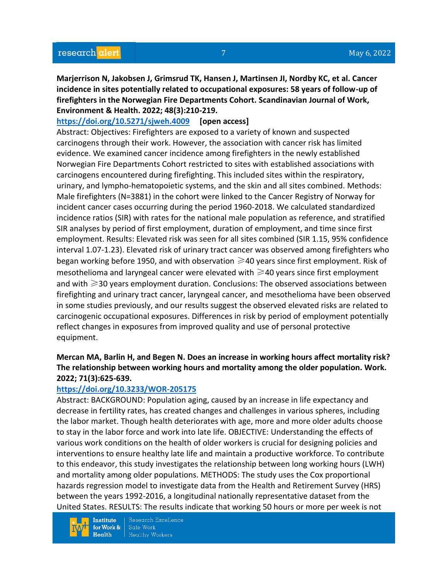**Marjerrison N, Jakobsen J, Grimsrud TK, Hansen J, Martinsen JI, Nordby KC, et al. Cancer incidence in sites potentially related to occupational exposures: 58 years of follow-up of firefighters in the Norwegian Fire Departments Cohort. Scandinavian Journal of Work, Environment & Health. 2022; 48(3):210-219.** 

### **<https://doi.org/10.5271/sjweh.4009> [open access]**

Abstract: Objectives: Firefighters are exposed to a variety of known and suspected carcinogens through their work. However, the association with cancer risk has limited evidence. We examined cancer incidence among firefighters in the newly established Norwegian Fire Departments Cohort restricted to sites with established associations with carcinogens encountered during firefighting. This included sites within the respiratory, urinary, and lympho-hematopoietic systems, and the skin and all sites combined. Methods: Male firefighters (N=3881) in the cohort were linked to the Cancer Registry of Norway for incident cancer cases occurring during the period 1960-2018. We calculated standardized incidence ratios (SIR) with rates for the national male population as reference, and stratified SIR analyses by period of first employment, duration of employment, and time since first employment. Results: Elevated risk was seen for all sites combined (SIR 1.15, 95% confidence interval 1.07-1.23). Elevated risk of urinary tract cancer was observed among firefighters who began working before 1950, and with observation  $\geq$ 40 years since first employment. Risk of mesothelioma and laryngeal cancer were elevated with  $\geq$  40 years since first employment and with  $\geqslant$  30 years employment duration. Conclusions: The observed associations between firefighting and urinary tract cancer, laryngeal cancer, and mesothelioma have been observed in some studies previously, and our results suggest the observed elevated risks are related to carcinogenic occupational exposures. Differences in risk by period of employment potentially reflect changes in exposures from improved quality and use of personal protective equipment.

# **Mercan MA, Barlin H, and Begen N. Does an increase in working hours affect mortality risk? The relationship between working hours and mortality among the older population. Work. 2022; 71(3):625-639.**

#### **<https://doi.org/10.3233/WOR-205175>**

Abstract: BACKGROUND: Population aging, caused by an increase in life expectancy and decrease in fertility rates, has created changes and challenges in various spheres, including the labor market. Though health deteriorates with age, more and more older adults choose to stay in the labor force and work into late life. OBJECTIVE: Understanding the effects of various work conditions on the health of older workers is crucial for designing policies and interventions to ensure healthy late life and maintain a productive workforce. To contribute to this endeavor, this study investigates the relationship between long working hours (LWH) and mortality among older populations. METHODS: The study uses the Cox proportional hazards regression model to investigate data from the Health and Retirement Survey (HRS) between the years 1992-2016, a longitudinal nationally representative dataset from the United States. RESULTS: The results indicate that working 50 hours or more per week is not

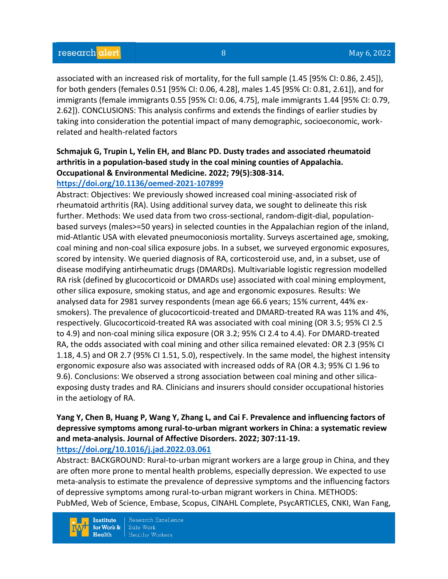associated with an increased risk of mortality, for the full sample (1.45 [95% CI: 0.86, 2.45]), for both genders (females 0.51 [95% CI: 0.06, 4.28], males 1.45 [95% CI: 0.81, 2.61]), and for immigrants (female immigrants 0.55 [95% CI: 0.06, 4.75], male immigrants 1.44 [95% CI: 0.79, 2.62]). CONCLUSIONS: This analysis confirms and extends the findings of earlier studies by taking into consideration the potential impact of many demographic, socioeconomic, workrelated and health-related factors

# **Schmajuk G, Trupin L, Yelin EH, and Blanc PD. Dusty trades and associated rheumatoid arthritis in a population-based study in the coal mining counties of Appalachia. Occupational & Environmental Medicine. 2022; 79(5):308-314.**

# **<https://doi.org/10.1136/oemed-2021-107899>**

Abstract: Objectives: We previously showed increased coal mining-associated risk of rheumatoid arthritis (RA). Using additional survey data, we sought to delineate this risk further. Methods: We used data from two cross-sectional, random-digit-dial, populationbased surveys (males>=50 years) in selected counties in the Appalachian region of the inland, mid-Atlantic USA with elevated pneumoconiosis mortality. Surveys ascertained age, smoking, coal mining and non-coal silica exposure jobs. In a subset, we surveyed ergonomic exposures, scored by intensity. We queried diagnosis of RA, corticosteroid use, and, in a subset, use of disease modifying antirheumatic drugs (DMARDs). Multivariable logistic regression modelled RA risk (defined by glucocorticoid or DMARDs use) associated with coal mining employment, other silica exposure, smoking status, and age and ergonomic exposures. Results: We analysed data for 2981 survey respondents (mean age 66.6 years; 15% current, 44% exsmokers). The prevalence of glucocorticoid-treated and DMARD-treated RA was 11% and 4%, respectively. Glucocorticoid-treated RA was associated with coal mining (OR 3.5; 95% CI 2.5 to 4.9) and non-coal mining silica exposure (OR 3.2; 95% CI 2.4 to 4.4). For DMARD-treated RA, the odds associated with coal mining and other silica remained elevated: OR 2.3 (95% CI 1.18, 4.5) and OR 2.7 (95% CI 1.51, 5.0), respectively. In the same model, the highest intensity ergonomic exposure also was associated with increased odds of RA (OR 4.3; 95% CI 1.96 to 9.6). Conclusions: We observed a strong association between coal mining and other silicaexposing dusty trades and RA. Clinicians and insurers should consider occupational histories in the aetiology of RA.

## **Yang Y, Chen B, Huang P, Wang Y, Zhang L, and Cai F. Prevalence and influencing factors of depressive symptoms among rural-to-urban migrant workers in China: a systematic review and meta-analysis. Journal of Affective Disorders. 2022; 307:11-19. <https://doi.org/10.1016/j.jad.2022.03.061>**

Abstract: BACKGROUND: Rural-to-urban migrant workers are a large group in China, and they are often more prone to mental health problems, especially depression. We expected to use meta-analysis to estimate the prevalence of depressive symptoms and the influencing factors of depressive symptoms among rural-to-urban migrant workers in China. METHODS: PubMed, Web of Science, Embase, Scopus, CINAHL Complete, PsycARTICLES, CNKI, Wan Fang,